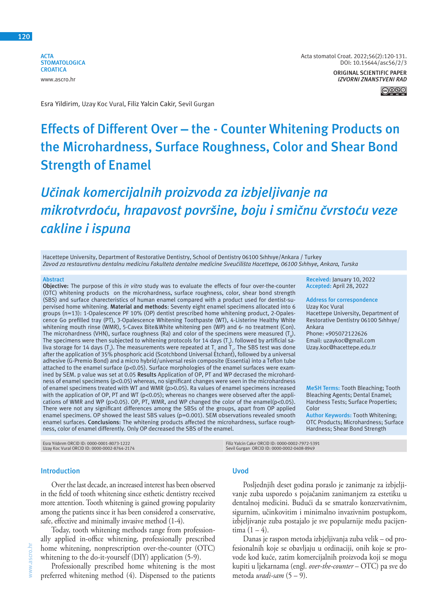**ACTA STOMATOLOGICA CROATICA** www.ascro.hr



Esra Yildirim, Uzay Koc Vural, Filiz Yalcin Cakir, Sevil Gurgan

## **Effects of Different Over – the - Counter Whitening Products on the Microhardness, Surface Roughness, Color and Shear Bond Strength of Enamel**

## *Učinak komercijalnih proizvoda za izbjeljivanje na mikrotvrdoću, hrapavost površine, boju i smičnu čvrstoću veze cakline i ispuna*

Hacettepe University, Department of Restorative Dentistry, School of Dentistry 06100 Sıhhıye/Ankara / Turkey *Zavod za restaurativnu dentalnu medicinu Fakulteta dentalne medicine Sveučilišta Hacettepe, 06100 Sıhhıye, Ankara, Turska*

#### **Abstract**

**Objective:** The purpose of this *in vitro* study was to evaluate the effects of four over-the-counter (OTC) whitening products on the microhardness, surface roughness, color, shear bond strength (SBS) and surface charecteristics of human enamel compared with a product used for dentist-supervised home whitening. **Material and methods**: Seventy eight enamel specimens allocated into 6 groups (n=13): 1-Opalescence PF 10% (OP) dentist prescribed home whitening product, 2-Opalescence Go prefilled tray (PT), 3-Opalescence Whitening Toothpaste (WT), 4-Listerine Healthy White whitening mouth rinse (WMR), 5-Cavex Bite&White whitening pen (WP) and 6- no treatment (Con). The microhardness (VHN), surface roughness (Ra) and color of the specimens were measured (T $_{\rm o}$ ). The specimens were then subjected to whitening protocols for 14 days  $(T_1)$ . followed by artificial saliva storage for 14 days (T<sub>2</sub>). The measurements were repeated at T<sub>1</sub> and T<sub>2</sub>. The SBS test was done after the application of 35% phosphoric acid (Scotchbond Universal Etchant), followed by a universal adhesive (G-Premio Bond) and a micro hybrid/universal resin composite (Essentia) into a Teflon tube attached to the enamel surface (p<0.05). Surface morphologies of the enamel surfaces were examined by SEM. p value was set at 0.05 **Results** Application of OP, PT and WP decrased the microhardness of enamel specimens (p<0.05) whereas, no significant changes were seen in the microhardness of enamel specimens treated with WT and WMR (p>0.05). Ra values of enamel specimens increased with the application of OP, PT and WT (p<0.05); whereas no changes were observed after the applications of WMR and WP (p>0.05). OP, PT, WMR, and WP changed the color of the enamel(p<0.05). There were not any significant differences among the SBSs of the groups, apart from OP applied enamel specimens. OP showed the least SBS values (p=0.001). SEM observations revealed smooth enamel surfaces. **Conclusions**: The whitening products affected the microhardness, surface roughness, color of enamel differently. Only OP decreased the SBS of the enamel.

Bleaching Agents; Dental Enamel; Hardness Tests; Surface Properties; Color

**MeSH Terms:** Tooth Bleaching; Tooth

**Author Keywords:** Tooth Whitening; OTC Products; Microhardness; Surface Hardness; Shear Bond Strength

Esra Yıldırım ORCID ID: 0000-0001-8073-1222 Uzay Koc Vural ORCID ID: 0000-0002-8764-2174 Filiz Yalcin Cakır ORCID ID: 0000-0002-7972-5391 Sevil Gurgan ORCID ID: 0000-0002-0408-8949

#### **Introduction**

Over the last decade, an increased interest has been observed in the field of tooth whitening since esthetic dentistry received more attention. Tooth whitening is gained growing popularity among the patients since it has been considered a conservative, safe, effective and minimally invasive method (1-4).

Today, tooth whitening methods range from professionally applied in-office whitening, professionally prescribed home whitening, nonprescription over-the-counter (OTC) whitening to the do-it-yourself (DIY) application (5-9).

Professionally prescribed home whitening is the most preferred whitening method (4). Dispensed to the patients

#### **Uvod**

Posljednjih deset godina poraslo je zanimanje za izbjeljivanje zuba usporedo s pojačanim zanimanjem za estetiku u dentalnoj medicini. Budući da se smatralo konzervativnim, sigurnim, učinkovitim i minimalno invazivnim postupkom, izbjeljivanje zuba postajalo je sve popularnije među pacijentima  $(1 - 4)$ .

Danas je raspon metoda izbjeljivanja zuba velik – od profesionalnih koje se obavljaju u ordinaciji, onih koje se provode kod kuće, zatim komercijalnih proizvoda koji se mogu kupiti u ljekarnama (engl. *over-the-counter* – OTC) pa sve do metoda *uradi-sam* (5 – 9).

#### **Received:** January 10, 2022 **Accepted:** April 28, 2022

**Address for correspondence** Uzay Koc Vural Hacettepe University, Department of Restorative Dentistry 06100 Sıhhıye/ Ankara Phone: +905072122626

Email: uzaykoc@gmail.com Uzay.koc@hacettepe.edu.tr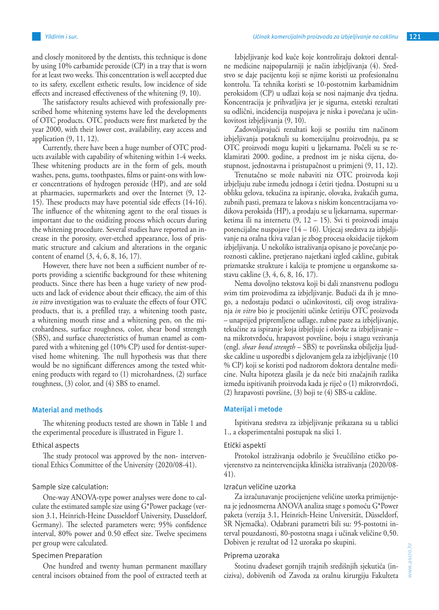and closely monitored by the dentists, this technique is done by using 10% carbamide peroxide (CP) in a tray that is worn for at least two weeks. This concentration is well accepted due to its safety, excellent esthetic results, low incidence of side effects and increased effectiveness of the whitening (9, 10).

The satisfactory results achieved with professionally prescribed home whitening systems have led the developments of OTC products. OTC products were first marketed by the year 2000, with their lower cost, availability, easy access and application (9, 11, 12).

Currently, there have been a huge number of OTC products available with capability of whitening within 1-4 weeks. These whitening products are in the form of gels, mouth washes, pens, gums, toothpastes, films or paint-ons with lower concentrations of hydrogen peroxide (HP), and are sold at pharmacies, supermarkets and over the Internet (9, 12- 15). These products may have potential side effects (14-16). The influence of the whitening agent to the oral tissues is important due to the oxidizing process which occurs during the whitening procedure. Several studies have reported an increase in the porosity, over-etched appearance, loss of prismatic structure and calcium and alterations in the organic content of enamel (3, 4, 6, 8, 16, 17).

However, there have not been a sufficient number of reports providing a scientific background for these whitening products. Since there has been a huge variety of new products and lack of evidence about their efficacy, the aim of this *in vitro* investigation was to evaluate the effects of four OTC products, that is, a prefilled tray, a whitening tooth paste, a whitening mouth rinse and a whitening pen, on the microhardness, surface roughness, color, shear bond strength (SBS), and surface charecteristics of human enamel as compared with a whitening gel (10% CP) used for dentist-supervised home whitening. The null hypothesis was that there would be no significant differences among the tested whitening products with regard to (1) microhardness, (2) surface roughness, (3) color, and (4) SBS to enamel.

#### **Material and methods**

The whitening products tested are shown in Table 1 and the experimental procedure is illustrated in Figure 1.

#### Ethical aspects

The study protocol was approved by the non- interventional Ethics Committee of the University (2020/08-41).

#### Sample size calculation:

One-way ANOVA-type power analyses were done to calculate the estimated sample size using G\*Power package (version 3.1, Heinrich-Heine Dusseldorf University, Dusseldorf, Germany). The selected parameters were; 95% confidence interval, 80% power and 0.50 effect size. Twelve specimens per group were calculated.

#### Specimen Preparation

One hundred and twenty human permanent maxillary central incisors obtained from the pool of extracted teeth at

Izbjeljivanje kod kuće koje kontroliraju doktori dentalne medicine najpopularniji je način izbjeljivanja (4). Sredstvo se daje pacijentu koji se njime koristi uz profesionalnu kontrolu. Ta tehnika koristi se 10-postotnim karbamidnim peroksidom (CP) u udlazi koja se nosi najmanje dva tjedna. Koncentracija je prihvatljiva jer je sigurna, estetski rezultati su odlični, incidencija nuspojava je niska i povećana je učinkovitost izbjeljivanja (9, 10).

Zadovoljavajući rezultati koji se postižu tim načinom izbjeljivanja potaknuli su komercijalnu proizvodnju, pa se OTC proizvodi mogu kupiti u ljekarnama. Počeli su se reklamirati 2000. godine, a prednost im je niska cijena, dostupnost, jednostavna i pristupačnost u primjeni (9, 11, 12).

Trenutačno se može nabaviti niz OTC proizvoda koji izbjeljuju zube između jednoga i četiri tjedna. Dostupni su u obliku gelova, tekućina za ispiranje, olovaka, žvakaćih guma, zubnih pasti, premaza te lakova s niskim koncentracijama vodikova peroksida (HP), a prodaju se u ljekarnama, supermarketima ili na internetu (9, 12 – 15). Svi ti proizvodi imaju potencijalne nuspojave (14 – 16). Utjecaj sredstva za izbjeljivanje na oralna tkiva važan je zbog procesa oksidacije tijekom izbjeljivanja. U nekoliko istraživanja opisano je povećanje poroznosti cakline, pretjerano najetkani izgled cakline, gubitak prizmatske strukture i kalcija te promjene u organskome sastavu cakline (3, 4, 6, 8, 16, 17).

Nema dovoljno tekstova koji bi dali znanstvenu podlogu svim tim proizvodima za izbjeljivanje. Budući da ih je mnogo, a nedostaju podatci o učinkovitosti, cilj ovog istraživanja *in vitro* bio je procijeniti učinke četiriju OTC proizvoda – unaprijed pripremljene udlage, zubne paste za izbjeljivanje, tekućine za ispiranje koja izbjeljuje i olovke za izbjeljivanje – na mikrotvrdoću, hrapavost površine, boju i snagu vezivanja (engl. *shear bond strength* – SBS) te površinska obilježja ljudske cakline u usporedbi s djelovanjem gela za izbjeljivanje (10 % CP) koji se koristi pod nadzorom doktora dentalne medicine. Nulta hipoteza glasila je da neće biti značajnih razlika između ispitivanih proizvoda kada je riječ o (1) mikrotvrdoći, (2) hrapavosti površine, (3) boji te (4) SBS-u cakline.

#### **Materijal i metode**

Ispitivana sredstva za izbjeljivanje prikazana su u tablici 1., a eksperimentalni postupak na slici 1.

#### Etički aspekti

Protokol istraživanja odobrilo je Sveučilišno etičko povjerenstvo za neintervencijska klinička istraživanja (2020/08- 41).

#### Izračun veličine uzorka

Za izračunavanje procijenjene veličine uzorka primijenjena je jednosmerna ANOVA analiza snage s pomoću G\*Power paketa (verzija 3.1, Heinrich-Heine Universität, Düsseldorf, SR Njemačka). Odabrani parametri bili su: 95-postotni interval pouzdanosti, 80-postotna snaga i učinak veličine 0,50. Dobiven je rezultat od 12 uzoraka po skupini.

#### Priprema uzoraka

Stotinu dvadeset gornjih trajnih središnjih sjekutića (inciziva), dobivenih od Zavoda za oralnu kirurgiju Fakulteta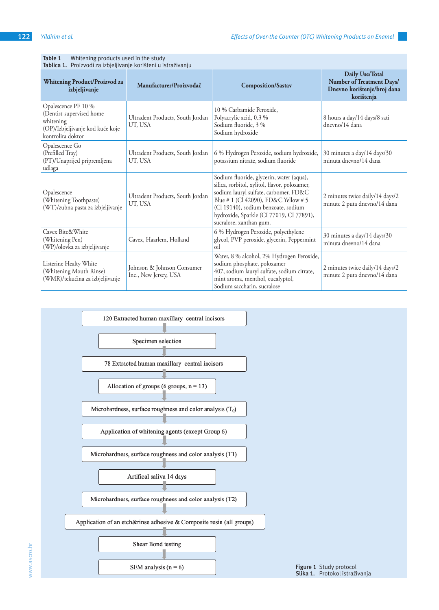**Table 1** Whitening products used in the study

| Tablica 1. Proizvodi za izbjeljivanje korišteni u istraživanju                                                        |                                                     |                                                                                                                                                                                                                                                                                          |                                                                                           |  |  |  |  |  |
|-----------------------------------------------------------------------------------------------------------------------|-----------------------------------------------------|------------------------------------------------------------------------------------------------------------------------------------------------------------------------------------------------------------------------------------------------------------------------------------------|-------------------------------------------------------------------------------------------|--|--|--|--|--|
| <b>Whitening Product/Proizvod za</b><br>izbjeljivanje                                                                 | Manufacturer/Proizvođač                             | <b>Composition/Sastav</b>                                                                                                                                                                                                                                                                | Daily Use/Total<br>Number of Treatment Days/<br>Dnevno korištenje/broj dana<br>korištenja |  |  |  |  |  |
| Opalescence PF 10 %<br>(Dentist-supervised home<br>whitening<br>(OP)/Izbjeljivanje kod kuće koje<br>kontrolira doktor | Ultradent Products, South Jordan<br>UT, USA         | 10 % Carbamide Peroxide.<br>Polyacrylic acid, 0.3 %<br>Sodium fluoride, 3 %<br>Sodium hydroxide                                                                                                                                                                                          | 8 hours a day/14 days/8 sati<br>dnevno/14 dana                                            |  |  |  |  |  |
| Opalescence Go<br>(Prefilled Tray)<br>(PT)/Unaprijed pripremljena<br>udlaga                                           | Ultradent Products, South Jordan<br>UT, USA         | 6 % Hydrogen Peroxide, sodium hydroxide,<br>potassium nitrate, sodium fluoride                                                                                                                                                                                                           | 30 minutes a day/14 days/30<br>minuta dnevno/14 dana                                      |  |  |  |  |  |
| Opalescence<br>(Whitening Toothpaste)<br>(WT)/zubna pasta za izbjeljivanje                                            | Ultradent Products, South Jordan<br>UT, USA         | Sodium fluoride, glycerin, water (aqua),<br>silica, sorbitol, xylitol, flavor, poloxamer,<br>sodium lauryl sulfate, carbomer, FD&C<br>Blue # 1 (Cl 42090), FD&C Yellow # 5<br>(Cl 19140), sodium benzoate, sodium<br>hydroxide, Sparkle (CI 77019, CI 77891),<br>sucralose, xanthan gum. | 2 minutes twice daily/14 days/2<br>minute 2 puta dnevno/14 dana                           |  |  |  |  |  |
| Cavex Bite&White<br>(Whitening Pen)<br>(WP)/olovka za izbjeljivanje                                                   | Cavex, Haarlem, Holland                             | 6 % Hydrogen Peroxide, polyethylene<br>glycol, PVP peroxide, glycerin, Peppermint<br>oil                                                                                                                                                                                                 | 30 minutes a day/14 days/30<br>minuta dnevno/14 dana                                      |  |  |  |  |  |
| Listerine Healty White<br>(Whitening Mouth Rinse)<br>(WMR)/tekućina za izbjeljivanje                                  | Johnson & Johnson Consumer<br>Inc., New Jersey, USA | Water, 8 % alcohol, 2% Hydrogen Peroxide,<br>sodium phosphate, poloxamer<br>407, sodium lauryl sulfate, sodium citrate,<br>mint aroma, menthol, eucalyptol,<br>Sodium saccharin, sucralose                                                                                               | 2 minutes twice daily/14 days/2<br>minute 2 puta dnevno/14 dana                           |  |  |  |  |  |



# www.ascro.hr www.ascro.hr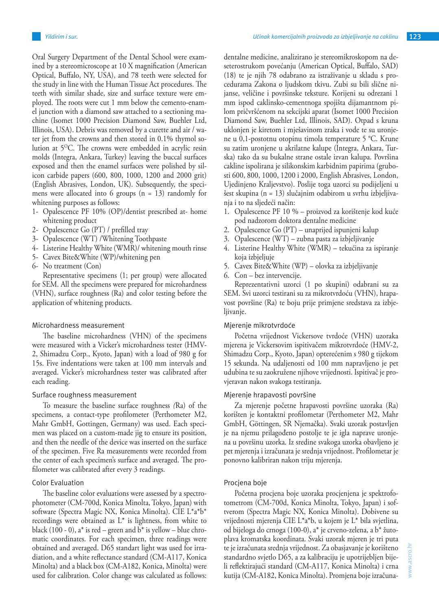Oral Surgery Department of the Dental School were examined by a stereomicroscope at 10 X magnification (American Optical, Buffalo, NY, USA), and 78 teeth were selected for the study in line with the Human Tissue Act procedures. The teeth with similar shade, size and surface texture were employed. The roots were cut 1 mm below the cemento-enamel junction with a diamond saw attached to a sectioning machine (Isomet 1000 Precision Diamond Saw, Buehler Ltd, Illinois, USA). Debris was removed by a curette and air / water jet from the crowns and then stored in 0.1% thymol solution at 5OC. The crowns were embedded in acrylic resin molds (Integra, Ankara, Turkey) leaving the buccal surfaces exposed and then the enamel surfaces were polished by silicon carbide papers (600, 800, 1000, 1200 and 2000 grit) (English Abrasives, London, UK). Subsequently, the specimens were allocated into 6 groups  $(n = 13)$  randomly for whitening purposes as follows:

- 1- Opalescence PF 10% (OP)/dentist prescribed at- home whitening product
- 2- Opalescence Go (PT) / prefilled tray
- 3- Opalescence (WT) /Whitening Toothpaste
- 4- Listerine Healthy White (WMR)/ whitening mouth rinse
- 5- Cavex Bite&White (WP)/whitening pen
- 6- No treatment (Con)

Representative specimens (1; per group) were allocated for SEM. All the specimens were prepared for microhardness (VHN), surface roughness (Ra) and color testing before the application of whitening products.

#### Microhardness measurement

The baseline microhardness (VHN) of the specimens were measured with a Vicker's microhardness tester (HMV-2, Shimadzu Corp., Kyoto, Japan) with a load of 980 g for 15s. Five indentations were taken at 100 mm intervals and averaged. Vicker's microhardness tester was calibrated after each reading.

#### Surface roughness measurement

To measure the baseline surface roughness *(*Ra) of the specimens, a contact-type profilometer (Perthometer M2, Mahr GmbH, Gottingen, Germany) was used. Each specimen was placed on a custom-made jig to ensure its position, and then the needle of the device was inserted on the surface of the specimen. Five Ra measurements were recorded from the center of each specimen's surface and averaged. The profilometer was calibrated after every 3 readings.

#### Color Evaluation

The baseline color evaluations were assessed by a spectrophotometer (CM-700d, Konica Minolta, Tokyo, Japan) with software (Spectra Magic NX, Konica Minolta). CIE L\*a\*b\* recordings were obtained as  $L^*$  is lightness, from white to black (100 - 0),  $a^*$  is red – green and  $b^*$  is yellow – blue chromatic coordinates. For each specimen, three readings were obtained and averaged. D65 standart light was used for irradiation, and a white reflectance standard (CM-A117, Konica Minolta) and a black box (CM-A182, Konica, Minolta) were used for calibration*.* Color change was calculated as follows: dentalne medicine, analizirano je stereomikroskopom na deseterostrukom povećanju (American Optical, Buffalo, SAD) (18) te je njih 78 odabrano za istraživanje u skladu s procedurama Zakona o ljudskom tkivu. Zubi su bili slične nijanse, veličine i površinske teksture. Korijeni su odrezani 1 mm ispod caklinsko-cementnoga spojišta dijamantnom pilom pričvršćenom na sekcijski aparat (Isomet 1000 Precision Diamond Saw, Buehler Ltd, Illinois, SAD). Otpad s kruna uklonjen je kiretom i mješavinom zraka i vode te su uronjene u 0,1-postotnu otopinu timola temperature 5 °C. Krune su zatim uronjene u akrilatne kalupe (Integra, Ankara, Turska) tako da su bukalne strane ostale izvan kalupa. Površina cakline ispolirana je silikonskim karbidnim papirima (grubosti 600, 800, 1000, 1200 i 2000, English Abrasives, London, Ujedinjeno Kraljevstvo). Poslije toga uzorci su podijeljeni u šest skupina (n = 13) slučajnim odabirom u svrhu izbjeljivanja i to na sljedeći način:

- 1. Opalescence PF 10 % proizvod za korištenje kod kuće pod nadzorom doktora dentalne medicine
- 2. Opalescence Go (PT) unaprijed ispunjeni kalup
- 3. Opalescence (WT) zubna pasta za izbjeljivanje
- 4. Listerine Healthy White (WMR) tekućina za ispiranje koja izbjeljuje
- 5. Cavex Bite&White (WP) olovka za izbjeljivanje
- 6. Con bez intervencije.

Reprezentativni uzorci (1 po skupini) odabrani su za SEM. Svi uzorci testirani su za mikrotvrdoću (VHN), hrapavost površine (Ra) te boju prije primjene sredstava za izbjeljivanje.

#### Mjerenje mikrotvrdoće

Početna vrijednost Vickersove tvrdoće (VHN) uzoraka mjerena je Vickersovim ispitivačem mikrotvrdoće (HMV-2, Shimadzu Corp., Kyoto, Japan) opterećenim s 980 g tijekom 15 sekunda. Na udaljenosti od 100 mm napravljeno je pet udubina te su zaokružene njihove vrijednosti. Ispitivač je provjeravan nakon svakoga testiranja.

#### Mjerenje hrapavosti površine

Za mjerenje početne hrapavosti površine uzoraka (Ra) korišten je kontaktni profilometar (Perthometer M2, Mahr GmbH, Göttingen, SR Njemačka). Svaki uzorak postavljen je na njemu prilagođeno postolje te je igla naprave uronjena u površinu uzorka. Iz sredine svakoga uzorka obavljeno je pet mjerenja i izračunata je srednja vrijednost. Profilometar je ponovno kalibriran nakon triju mjerenja.

#### Procjena boje

Početna procjena boje uzoraka procjenjena je spektrofotometrom (CM-700d, Konica Minolta, Tokyo, Japan) i softverom (Spectra Magic NX, Konica Minolta). Dobivene su vrijednosti mjerenja CIE L\*a\*b, u kojem je L\* bila svjetlina, od bijeloga do crnoga (100-0), a\* je crveno-zelena, a b\* žutoplava kromatska koordinata. Svaki uzorak mjeren je tri puta te je izračunata srednja vrijednost. Za obasjavanje je korišteno standardno svjetlo D65, a za kalibraciju je upotrijebljen bijeli reflektirajući standard (CM-A117, Konica Minolta) i crna kutija (CM-A182, Konica Minolta). Promjena boje izračuna-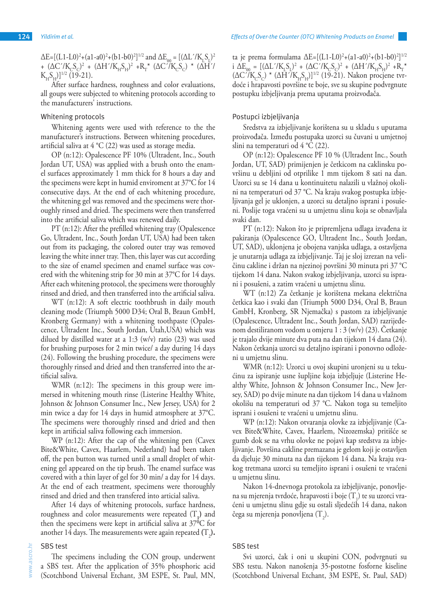After surface hardness, roughness and color evaluations, all goups were subjected to whitening protocols according to the manufacturers' instructions.

#### Whitening protocols

Whitening agents were used with reference to the the manufacturer's instructions. Between whitening procedures, artificial saliva at 4 °C (22) was used as storage media.

OP (n:12): Opalescence PF 10% (Ultradent, Inc., South Jordan UT, USA) was applied with a brush onto the enamel surfaces approximately 1 mm thick for 8 hours a day and the specimens were kept in humid enviroment at 37°C for 14 consecutive days. At the end of each whitening procedure, the whitening gel was removed and the specimens were thoroughly rinsed and dried. The specimens were then transferred into the artificial saliva which was renewed daily.

PT (n:12): After the prefilled whitening tray (Opalescence Go, Ultradent, Inc., South Jordan UT, USA) had been taken out from its packaging, the colored outer tray was removed leaving the white inner tray. Then, this layer was cut according to the size of enamel specimen and enamel surface was covered with the whitening strip for 30 min at 37°C for 14 days. After each whitening protocol, the specimens were thoroughly rinsed and dried, and then transferred into the artificial saliva.

WT (n:12): A soft electric toothbrush in daily mouth cleaning mode (Triumph 5000 D34; Oral B, Braun GmbH, Kronberg Germany) with a whitening toothpaste (Opalescence, Ultradent Inc., South Jordan, Utah,USA) which was dilued by distilled water at a 1:3 (w/v) ratio  $(23)$  was used for brushing purposes for 2 min twice/ a day during 14 days (24). Following the brushing procedure, the specimens were thoroughly rinsed and dried and then transferred into the artificial saliva.

WMR (n:12): The specimens in this group were immersed in whitening mouth rinse (Listerine Healthy White, Johnson & Johnson Consumer Inc., New Jersey, USA) for 2 min twice a day for 14 days in humid atmosphere at 37°C. The specimens were thoroughly rinsed and dried and then kept in artificial saliva following each immersion.

WP (n:12): After the cap of the whitening pen (Cavex Bite&White, Cavex, Haarlem, Nederland) had been taken off, the pen button was turned until a small droplet of whitening gel appeared on the tip brush. The enamel surface was covered with a thin layer of gel for 30 min/ a day for 14 days. At the end of each treatment, specimens were thoroughly rinsed and dried and then transfered into articial saliva.

After 14 days of whitening protocols, surface hardness, roughness and color measurements were repeated  $(T_1)$  and then the specimens were kept in artificial saliva at  $37^{\circ}$ C for another 14 days. The measurements were again repeated  $(T_{_2})$ .

#### SBS test

ascro.hr www.ascro.hr  $\geqslant$ 

The specimens including the CON group, underwent a SBS test. After the application of 35% phosphoric acid (Scotchbond Universal Etchant, 3M ESPE, St. Paul, MN, ta je prema formulama  $\Delta E = [(L1-L0)^2 + (a1-a0)^2 + (b1-b0)^2]^{1/2}$ i  $\Delta E_{00} = [(\Delta L'/K_L S_L)^2 + (\Delta C'/K_C S_C)^2 + (\Delta H'/K_H S_H)^2 + R_T^*$  $(\Delta C^{\gamma}/K_cS_c)^* (\Delta H^{\gamma}/K_{H}S_{H})$ ]<sup>1/2</sup> (19-21). Nakon procjene tvrdoće i hrapavosti površine te boje, sve su skupine podvrgnute postupku izbjeljivanja prema uputama proizvođača.

#### Postupci izbjeljivanja

Sredstva za izbjeljivanje korištena su u skladu s uputama proizvođača. Između postupaka uzorci su čuvani u umjetnoj slini na temperaturi od 4 °C (22).

OP (n:12): Opalescence PF 10 % (Ultradent Inc., South Jordan, UT, SAD) primijenjen je četkicom na caklinsku površinu u debljini od otprilike 1 mm tijekom 8 sati na dan. Uzorci su se 14 dana u kontinuitetu nalazili u vlažnoj okolini na temperaturi od 37 °C. Na kraju svakog postupka izbjeljivanja gel je uklonjen, a uzorci su detaljno isprani i posušeni. Poslije toga vraćeni su u umjetnu slinu koja se obnavljala svaki dan.

PT (n:12): Nakon što je pripremljena udlaga izvađena iz pakiranja (Opalescence GO, Ultradent Inc., South Jordan, UT, SAD), uklonjena je obojena vanjska udlaga, a ostavljena je unutarnja udlaga za izbjeljivanje. Taj je sloj izrezan na veličinu cakline i držan na njezinoj površini 30 minuta pri 37 °C tijekom 14 dana. Nakon svakog izbjeljivanja, uzorci su isprani i posušeni, a zatim vraćeni u umjetnu slinu.

WT (n:12) Za četkanje je korištena mekana električna četkica kao i svaki dan (Triumph 5000 D34, Oral B, Braun GmbH, Kronberg, SR Njemačka) s pastom za izbjeljivanje (Opalescence, Ultradent Inc., South Jordan, SAD) razrijeđenom destiliranom vodom u omjeru 1 : 3 (w/v) (23). Četkanje je trajalo dvije minute dva puta na dan tijekom 14 dana (24). Nakon četkanja uzorci su detaljno ispirani i ponovno odloženi u umjetnu slinu.

WMR (n:12): Uzorci u ovoj skupini uronjeni su u tekućinu za ispiranje usne šupljine koja izbjeljuje (Listerine Healthy White, Johnson & Johnson Consumer Inc., New Jersey, SAD) po dvije minute na dan tijekom 14 dana u vlažnom okolišu na temperaturi od 37 °C. Nakon toga su temeljito isprani i osušeni te vraćeni u umjetnu slinu.

WP (n:12): Nakon otvaranja olovke za izbjeljivanje (Cavex Bite&White, Cavex, Haarlem, Nizozemska) pritišće se gumb dok se na vrhu olovke ne pojavi kap sredstva za izbjeljivanje. Površina cakline premazana je gelom koji je ostavljen da djeluje 30 minuta na dan tijekom 14 dana. Na kraju svakog tretmana uzorci su temeljito isprani i osušeni te vraćeni u umjetnu slinu.

Nakon 14-dnevnoga protokola za izbjeljivanje, ponovljena su mjerenja tvrdoće, hrapavosti i boje  $(T_1)$  te su uzorci vraćeni u umjetnu slinu gdje su ostali sljedećih 14 dana, nakon čega su mjerenja ponovljena (T<sub>2</sub>).

#### SBS test

Svi uzorci, čak i oni u skupini CON, podvrgnuti su SBS testu. Nakon nanošenja 35-postotne fosforne kiseline (Scotchbond Universal Etchant, 3M ESPE, St. Paul, SAD)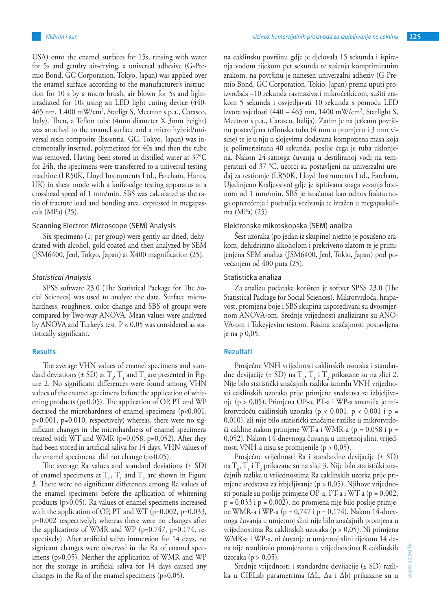USA) onto the enamel surfaces for 15s, rinsing with water for 5s and gentlty air-drying, a universal adhesive (G-Premio Bond, GC Corporation, Tokyo, Japan) was applied over the enamel surface according to the manufacturer's instruction for 10 s by a micro brush, air blown for 5s and lightirradiated for 10s using an LED light curing device (440- 465 nm, 1.400 mW/cm<sup>2</sup>, Starligt S, Mectron s.p.a., Carasco, Italy). Then, a Teflon tube (4mm diameter X 3mm height) was attached to the enamel surface and a micro hybrid/universal resin composite (Essentia, GC, Tokyo, Japan) was incrementally inserted, polymerized for 40s and then the tube was removed. Having been stored in distilled water at 37°C for 24h, the specimens were transferred to a universal testing machine (LR50K, Lloyd Instruments Ltd., Fareham, Hants, UK) in shear mode with a knife-edge testing apparatus at a crosshead speed of 1 mm/min. SBS was calculated as the ratio of fracture load and bonding area, expressed in megapascals (MPa) (25).

#### Scanning Electron Microscope (SEM) Analysis

Six specimens (1; per group) were gently air dried, dehydrated with alcohol, gold coated and then analyzed by SEM (JSM6400, Jeol, Tokyo, Japan) at X400 magnification (25).

#### *Statistical Analysis*

SPSS software 23.0 (The Statistical Package for The Social Sciences) was used to analyze the data. Surface microhardness, roughness, color change and SBS of groups were compared by Two-way ANOVA. Mean values were analyzed by ANOVA and Turkey's test. P < 0.05 was considered as statistically significant.

#### **Results**

The average VHN values of enamel specimens and standard deviations ( $\pm$  SD) at  $T_0$ ,  $T_1$  and  $T_2$  are presented in Figure 2. No significant differences were found among VHN values of the enamel specimens before the application of whitening products (p>0.05). The application of OP, PT and WP decrased the microhardness of enamel specimens (p<0.001, p<0.001, p=0.010, respectively) whereas, there were no significant changes in the microhardness of enamel specimens treated with WT and WMR ( $p=0,058$ ;  $p=0,052$ ). After they had been stored in artificial saliva for 14 days, VHN values of the enamel specimens did not change (p>0.05).

The average Ra values and standard deviations (± SD) of enamel specimens at  $T_0$ ,  $T_1$  and  $T_2$  are shown in Figure 3. There were no significant differences among Ra values of the enamel specimens before the apllication of whitening products (p>0.05). Ra values of enamel specimens increased with the application of OP, PT and WT ( $p=0.002$ ,  $p=0.033$ , p=0.002 respectively); whereas there were no changes after the applications of WMR and WP ( $p=0.747$ ,  $p=0.174$ , respectively). After artificial saliva immersion for 14 days, no signicant changes were observed in the Ra of enamel specimens (p>0.05). Neither the application of WMR and WP nor the storage in artificial saliva for 14 days caused any changes in the Ra of the enamel specimens (p>0.05).

na caklinsku površinu gdje je djelovala 15 sekunda i ispiranja vodom tijekom pet sekunda te sušenja komprimiranim zrakom, na površinu je nanesen univerzalni adheziv (G-Premio Bond, GC Corporation, Tokio, Japan) prema uputi proizvođača –10 sekunda razmazivati mikročetkicom, sušiti zrakom 5 sekunda i osvjetljavati 10 sekunda s pomoću LED izvora svjetlosti (440 – 465 nm, 1400 mW/cm<sup>2</sup>, Starlight S, Mectron s.p.a., Carasco, Italija). Zatim je na jetkanu površinu postavljena teflonska tuba (4 mm u promjeru i 3 mm visine) te je u nju u slojevima dodavana kompozitna masa koja je polimerizirana 40 sekunda, poslije čega je tuba uklonjena. Nakon 24-satnoga čuvanja u destiliranoj vodi na temperaturi od 37 °C, uzorci su postavljeni na univerzalni uređaj za testiranje (LR50K, Lloyd Instruments Ltd., Fareham, Ujedinjeno Kraljevstvo) gdje je ispitivana snaga vezanja brzinom od 1 mm/min. SBS je izračunat kao odnos frakturnoga opterećenja i područja vezivanja te izražen u megapaskalima (MPa) (25).

#### Elektronska mikroskopska (SEM) analiza

Šest uzoraka (po jedan iz skupine) nježno je posušeno zrakom, dehidrirano alkoholom i prekriveno zlatom te je primijenjena SEM analiza (JSM6400, Jeol, Tokio, Japan) pod povećanjem od 400 puta (25).

#### Statistička analiza

Za analizu podataka korišten je softver SPSS 23.0 (The Statistical Package for Social Sciences). Mikrotvrdoća, hrapavost, promjena boje i SBS skupina uspoređivani su dvosmjernom ANOVA-om. Srednje vrijednosti analizirane su ANO-VA-om i Tukeyjevim testom. Razina značajnosti postavljena je na p 0,05.

#### **Rezultati**

Prosječne VNH vrijednosti caklinskih uzoraka i standardne devijacije (± SD) na  $T_0$ ,  $T_1$  i  $T_2$  prikazane su na slici 2. Nije bilo statistički značajnih razlika između VNH vrijednosti caklinskih uzoraka prije primjene sredstava za izbjeljivanje (p > 0,05). Primjena OP-a, PT-a i WP-a smanjila je mikrotvrdoću caklinskih uzoraka (p < 0,001, p < 0,001 i p = 0,010), ali nije bilo statistički značajne razlike u mikrotvrdoći cakline nakon primjene WT-a i WMR-a (p = 0,058 i p = 0,052). Nakon 14-dnevnoga čuvanja u umjetnoj slini, vrijednosti VNH-a nisu se promijenile (p > 0,05).

Prosječne vrijednosti Ra i standardne devijacije (± SD) na  $T_{0}$ ,  $T_{1}$  i  $T_{2}$  prikazane su na slici 3. Nije bilo statistički značajnih razlika u vrijednostima Ra caklinskih uzorka prije primjene sredstava za izbjeljivanje (p > 0,05). Njihove vrijednosti porasle su poslije primjene OP-a, PT-a i WT-a (p = 0,002,  $p = 0.033$  i  $p = 0.002$ ), no promjena nije bilo poslije primjene WMR-a i WP-a (p = 0,747 i p = 0,174). Nakon 14-dnevnoga čuvanja u umjetnoj slini nije bilo značajnih promjena u vrijednostima Ra caklinskih uzoraka (p > 0,05). Ni primjena WMR-a i WP-a, ni čuvanje u umjetnoj slini tijekom 14 dana nije rezultiralo promjenama u vrijednostima R caklinskih uzoraka (p >  $0.05$ ).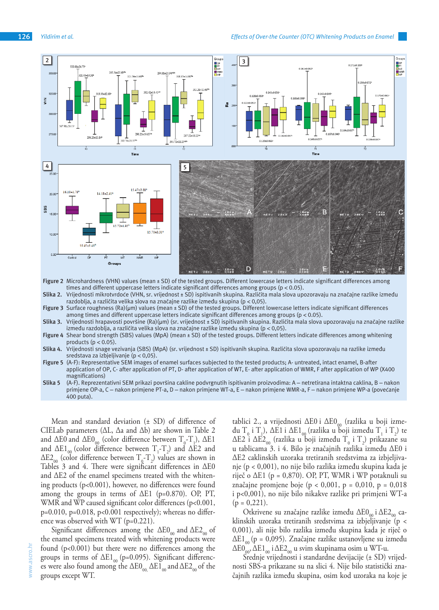

- **Figure 2** Microhardness (VHN) values (mean ± SD) of the tested groups. Different lowercase letters indicate significant differences among times and different uppercase letters indicate significant differences among groups (p < 0.05).
- **Slika 2.** Vrijednosti mikrotvrdoće (VHN, sr. vrijednost ± SD) ispitivanih skupina. Različita mala slova upozoravaju na značajne razlike između razdoblja, a različita velika slova na značajne razlike između skupina (p < 0,05).
- **Figure 3** Surface roughness (Ra)(μm) values (mean ± SD) of the tested groups. Different lowercase letters indicate significant differences among times and different uppercase letters indicate significant differences among groups (p < 0.05).
- **Slika 3.** Vrijednosti hrapavosti površine (Ra)(μm) (sr. vrijednost ± SD) ispitivanih skupina. Različita mala slova upozoravaju na značajne razlike između razdoblja, a različita velika slova na značajne razlike između skupina (p < 0,05).
- **Figure 4** Shear bond strength (SBS) values (MpA) (mean ± SD) of the tested groups. Different letters indicate differences among whitening products ( $p < 0.05$ ).
- **Slika 4.** Vrijednosti snage vezivanja (SBS) (MpA) (sr. vrijednost ± SD) ispitivanih skupina. Različita slova upozoravaju na razlike između sredstava za izbjeljivanje (p < 0,05).
- **Figure 5** (A-F): Representative SEM images of enamel surfaces subjected to the tested products; A- untreated, intact enamel, B-after application of OP, C- after application of PT, D- after application of WT, E- after application of WMR, F after application of WP (X400 magnifications)
- **Slika 5** (A-F). Reprezentativni SEM prikazi površina cakline podvrgnutih ispitivanim proizvodima: A netretirana intaktna caklina, B nakon primjene OP-a, C – nakon primjene PT-a, D – nakon primjene WT-a, E – nakon primjene WMR-a, F – nakon primjene WP-a (povećanje 400 puta).

Mean and standard deviation (± SD) of difference of CIELab parameters (ΔL, Δa and Δb) are shown in Table 2 and  $\Delta$ E0 and  $\Delta$ E0<sub>00</sub> (color difference between  $T_{0}$ - $T_{1}$ ),  $\Delta$ E1 and  $\Delta E1_{00}$  (color difference between  $T_1$ - $T_2$ ) and  $\Delta E2$  and  $\Delta$ E2<sub>00</sub> (color difference between  $T_{0}$ - $T_{2}$ ) values are shown in Tables 3 and 4. There were significant differences in ΔE0 and ΔE2 of the enamel specimens treated with the whitening products (p<0.001), however, no differences were found among the groups in terms of  $\Delta E1$  (p=0.870). OP, PT, WMR and WP caused significant color differences (p<0.001,  $p=0.010$ ,  $p=0.018$ ,  $p<0.001$  respectively); whereas no difference was observed with WT (p=0.221).

Significant differences among the  $\Delta E0_{00}$  and  $\Delta E2_{00}$  of the enamel specimens treated with whitening products were found (p<0.001) but there were no differences among the groups in terms of  $\Delta E1_{00}$  (p=0.095). Significant differences were also found among the  $\Delta E0_{00}$ ,  $\Delta E1_{00}$  and  $\Delta E2_{00}$  of the groups except WT.

tablici 2., a vrijednosti ΔE0 i ΔE0<sub>00</sub> (razlika u boji između T<sub>0</sub> i T<sub>1</sub>), ΔE1 i ΔE1<sub>00</sub> (razlika u boji između T<sub>1</sub> i T<sub>2</sub>) te ΔE2 i ΔE2<sub>00</sub> (razlika u boji između  $T_0$  i  $T_2$ ) prikazane su u tablicama 3. i 4. Bilo je značajnih razlika između ΔE0 i ΔE2 caklinskih uzoraka tretiranih sredstvima za izbjeljivanje (p < 0,001), no nije bilo razlika između skupina kada je riječ o  $\Delta$ E1 (p = 0,870). OP, PT, WMR i WP potaknuli su značajne promjene boje (p < 0,001, p = 0,010, p = 0,018 i p<0,001), no nije bilo nikakve razlike pri primjeni WT-a  $(p = 0,221)$ .

Otkrivene su značajne razlike između ΔE0<sub>00</sub> i ΔE2<sub>00</sub> caklinskih uzoraka tretiranih sredstvima za izbjeljivanje (p < 0,001), ali nije bilo razlika između skupina kada je riječ o  $\Delta E1_{00}$  (p = 0,095). Značajne razlike ustanovljene su između  $\Delta E0_{00}^{\circ}$ ,  $\Delta E1_{00}$  i  $\Delta E2_{00}$  u svim skupinama osim u WT-u.

Srednje vrijednosti i standardne devijacije (± SD) vrijednosti SBS-a prikazane su na slici 4. Nije bilo statistički značajnih razlika između skupina, osim kod uzoraka na koje je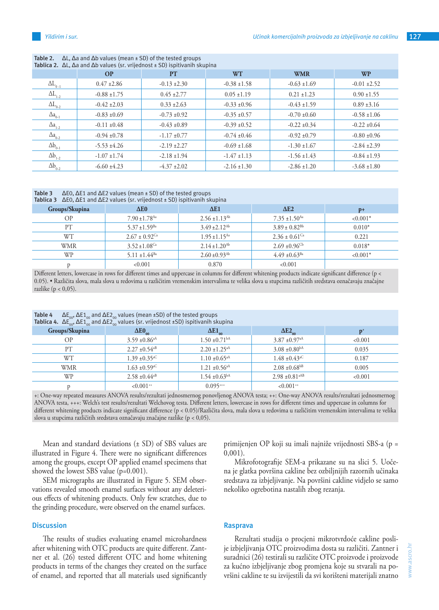| Tablica 2. $\Delta L$ , $\Delta a$ and $\Delta b$ values (sr. vrijednost $\pm$ SD) ispitivanih skupina |                  |                  |                  |                  |                  |  |  |  |
|--------------------------------------------------------------------------------------------------------|------------------|------------------|------------------|------------------|------------------|--|--|--|
|                                                                                                        | <b>OP</b>        | <b>PT</b>        | <b>WT</b>        | <b>WMR</b>       | <b>WP</b>        |  |  |  |
| $\Delta L_{0.1}$                                                                                       | $0.47 \pm 2.86$  | $-0.13 \pm 2.30$ | $-0.38 \pm 1.58$ | $-0.63 \pm 1.69$ | $-0.01 \pm 2.52$ |  |  |  |
| $\Delta L_{1-2}$                                                                                       | $-0.88 \pm 1.75$ | $0.45 \pm 2.77$  | $0.05 \pm 1.19$  | $0.21 \pm 1.23$  | $0.90 \pm 1.55$  |  |  |  |
| $\Delta L_{0-2}$                                                                                       | $-0.42 \pm 2.03$ | $0.33 \pm 2.63$  | $-0.33 \pm 0.96$ | $-0.43 \pm 1.59$ | $0.89 \pm 3.16$  |  |  |  |
| $\Delta a_{0-1}$                                                                                       | $-0.83 \pm 0.69$ | $-0.73 \pm 0.92$ | $-0.35 \pm 0.57$ | $-0.70 \pm 0.60$ | $-0.58 \pm 1.06$ |  |  |  |
| $\Delta a_{1-2}$                                                                                       | $-0.11 \pm 0.48$ | $-0.43 \pm 0.89$ | $-0.39 \pm 0.52$ | $-0.22 \pm 0.34$ | $-0.22 \pm 0.64$ |  |  |  |
| $\Delta a_{0-2}$                                                                                       | $-0.94 \pm 0.78$ | $-1.17 + 0.77$   | $-0.74 \pm 0.46$ | $-0.92 \pm 0.79$ | $-0.80 \pm 0.96$ |  |  |  |
| $\Delta b_{0-1}$                                                                                       | $-5.53 \pm 4.26$ | $-2.19 \pm 2.27$ | $-0.69 \pm 1.68$ | $-1.30 \pm 1.67$ | $-2.84 \pm 2.39$ |  |  |  |
| $\Delta b_{1-2}$                                                                                       | $-1.07 \pm 1.74$ | $-2.18 \pm 1.94$ | $-1.47 \pm 1.13$ | $-1.56 \pm 1.43$ | $-0.84 \pm 1.93$ |  |  |  |
| $\Delta b_{0-2}$                                                                                       | $-6.60 \pm 4.23$ | $-4.37 \pm 2.02$ | $-2.16 \pm 1.30$ | $-2.86 \pm 1.20$ | $-3.68 \pm 1.80$ |  |  |  |

**Table 2.** ΔL, Δa and Δb values (mean ± SD) of the tested groups

### **Table 3** ΔE0, ΔE1 and ΔE2 values (mean ± SD) of the tested groups

| Tablica 3 $\Delta$ EO, $\Delta$ E1 and $\Delta$ E2 values (sr. vrijednost ± SD) ispitivanih skupina |                               |                               |                               |            |  |  |  |  |
|-----------------------------------------------------------------------------------------------------|-------------------------------|-------------------------------|-------------------------------|------------|--|--|--|--|
| Groups/Skupina                                                                                      | $\Delta E0$                   | $\Delta$ E1                   | $\Delta$ E <sub>2</sub>       | $D+$       |  |  |  |  |
| <b>OP</b>                                                                                           | $7.90 \pm 1.78$ <sup>Aa</sup> | $2.56 \pm 1.13$ <sup>Ab</sup> | $7.35 \pm 1.50$ <sup>Aa</sup> | $< 0.001*$ |  |  |  |  |
| PT                                                                                                  | $5.37 \pm 1.59$ <sup>Ba</sup> | $3.49 \pm 2.12$ <sup>Ab</sup> | $3.89 \pm 0.82^{Bb}$          | $0.010*$   |  |  |  |  |
| WТ                                                                                                  | $2.67 \pm 0.92$ <sup>Ca</sup> | $1.95 \pm 1.15$ <sup>Aa</sup> | $2.36 \pm 0.61$ <sup>Ca</sup> | 0.221      |  |  |  |  |
| <b>WMR</b>                                                                                          | $3.52 \pm 1.08$ <sup>Ca</sup> | $2.14 \pm 1.20^{Ab}$          | $2.69 \pm 0.96$ <sup>Cb</sup> | $0.018*$   |  |  |  |  |
| WP                                                                                                  | 5.11 $\pm$ 1.44 <sup>Ba</sup> | $2.60 \pm 0.93$ <sup>Ab</sup> | $4.49 \pm 0.63^{Ba}$          | $< 0.001*$ |  |  |  |  |
|                                                                                                     | < 0.001                       | 0.870                         | < 0.001                       |            |  |  |  |  |

Different letters, lowercase in rows for different times and uppercase in columns for different whitening products indicate significant difference (p < 0.05). • Različita slova, mala slova u redovima u različitim vremenskim intervalima te velika slova u stupcima različitih sredstava označavaju značajne razlike ( $p < 0.05$ ).

|             |  | <b>Table 4</b> $\Delta E_{00}$ , $\Delta E_{100}$ and $\Delta E_{200}$ values (mean ±SD) of the tested groups |  |  |                                    |  |  |
|-------------|--|---------------------------------------------------------------------------------------------------------------|--|--|------------------------------------|--|--|
| $\sim$ 1.1. |  |                                                                                                               |  |  | $\sim$ $\sim$ $\sim$ $\sim$ $\sim$ |  |  |

| <b>Tablica 4.</b> $\Delta E_{\text{no}}^{\text{w}}$ , $\Delta E1_{\text{no}}^{\text{w}}$ and $\Delta E2_{\text{no}}^{\text{w}}$ values (sr. vrijednost ±SD) ispitivanih skupina |                               |                               |                                |         |  |  |  |  |
|---------------------------------------------------------------------------------------------------------------------------------------------------------------------------------|-------------------------------|-------------------------------|--------------------------------|---------|--|--|--|--|
| Groups/Skupina                                                                                                                                                                  | $\Delta E0_{\text{no}}$       | $\Delta E1_{\text{no}}$       |                                |         |  |  |  |  |
| OP                                                                                                                                                                              | $3.59 \pm 0.86$ <sup>aA</sup> | $1.50 \pm 0.71$ <sup>bA</sup> | $3.87 \pm 0.97$ <sup>aA</sup>  | < 0.001 |  |  |  |  |
| PT                                                                                                                                                                              | $2.27 \pm 0.54$ <sup>aB</sup> | $2.20 \pm 1.25$ <sup>aA</sup> | $3.08 \pm 0.80$ <sup>bA</sup>  | 0.035   |  |  |  |  |
| WT.                                                                                                                                                                             | $1.39 \pm 0.35$ <sup>aC</sup> | $1.10 \pm 0.65$ <sup>aA</sup> | $1.48 \pm 0.43$ <sup>aC</sup>  | 0.187   |  |  |  |  |
| WMR                                                                                                                                                                             | $1.63 \pm 0.59$ <sup>aC</sup> | $1.21 \pm 0.56$ <sup>aA</sup> | $2.08 \pm 0.68$ <sup>bB</sup>  | 0.005   |  |  |  |  |
| WP                                                                                                                                                                              | $2.58 \pm 0.44$ <sup>aB</sup> | $1.54 \pm 0.63^{\text{bA}}$   | $2.98 \pm 0.81$ <sup>aAB</sup> | < 0.001 |  |  |  |  |
|                                                                                                                                                                                 | $< 0.001$ <sup>++</sup>       | $0.095***$                    | $< 0.001$ <sup>++</sup>        |         |  |  |  |  |

+: One-way repeated measures ANOVA results/rezultati jednosmernog ponovljenog ANOVA testa; ++: One-way ANOVA results/rezultati jednosmernog ANOVA testa, +++: Welch's test results/rezultati Welchovog testa. Different letters, lowercase in rows for different times and uppercase in columns for different whitening products indicate significant difference (p < 0.05)/Različita slova, mala slova u redovima u različitim vremenskim intervalima te velika slova u stupcima različitih sredstava označavaju značajne razlike (p < 0,05).

Mean and standard deviations (± SD) of SBS values are illustrated in Figure 4. There were no significant differences among the groups, except OP applied enamel specimens that showed the lowest SBS value (p=0.001).

SEM micrographs are illustrated in Figure 5. SEM observations revealed smooth enamel surfaces without any deleterious effects of whitening products. Only few scratches, due to the grinding procedure, were observed on the enamel surfaces.

#### **Discussion**

The results of studies evaluating enamel microhardness after whitening with OTC products are quite different. Zantner et al. (26) tested different OTC and home whitening products in terms of the changes they created on the surface of enamel, and reported that all materials used significantly primijenjen OP koji su imali najniže vrijednosti SBS-a (p = 0,001).

Mikrofotografije SEM-a prikazane su na slici 5. Uočena je glatka površina cakline bez ozbiljnijih razornih učinaka sredstava za izbjeljivanje. Na površini cakline vidjelo se samo nekoliko ogrebotina nastalih zbog rezanja.

#### **Rasprava**

Rezultati studija o procjeni mikrotvrdoće cakline poslije izbjeljivanja OTC proizvodima dosta su različiti. Zantner i suradnici (26) testirali su različite OTC proizvode i proizvode za kućno izbjeljivanje zbog promjena koje su stvarali na površini cakline te su izvijestili da svi korišteni materijali znatno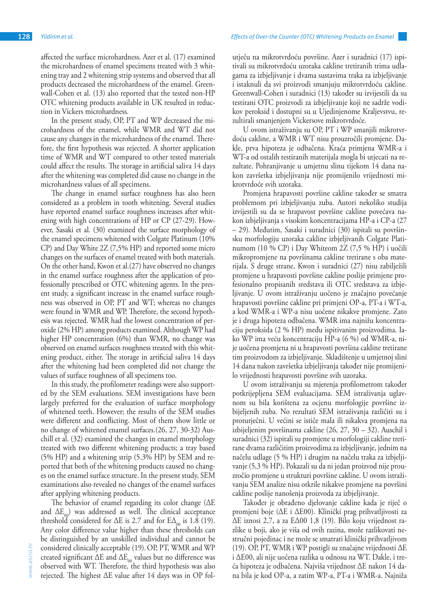affected the surface microhardness. Azer et al. (17) examined the microhardness of enamel specimens treated with 3 whitening tray and 2 whitening strip systems and observed that all products decreased the microhardness of the enamel. Greenwall-Cohen et al. (13) also reported that the tested non-HP OTC whitening products available in UK resulted in reduction in Vickers microhardness.

In the present study, OP, PT and WP decreased the microhardness of the enamel, while WMR and WT did not cause any changes in the microhardness of the enamel. Therefore, the first hypothesis was rejected. A shorter application time of WMR and WT compared to other tested materials could affect the results. The storage in artificial saliva 14 days after the whitening was completed did cause no change in the microhardness values of all specimens.

The change in enamel surface roughness has also been considered as a problem in tooth whitening. Several studies have reported enamel surface roughness increases after whitening with high concentrations of HP or CP (27-29). However, Sasaki et al. (30) examined the surface morphology of the enamel specimens whitened with Colgate Platinum (10% CP) and Day White 2Z (7,5% HP) and reported some micro changes on the surfaces of enamel treated with both materials. On the other hand, Kwon et al.(27) have observed no changes in the enamel surface roughness after the application of professionally prescribed or OTC whitening agents. In the present study, a significant increase in the enamel surface roughness was observed in OP, PT and WT; whereas no changes were found in WMR and WP. Therefore, the second hypothesis was rejected. WMR had the lowest concentration of peroxide (2% HP) among products examined. Although WP had higher HP concentration (6%) than WMR, no change was observed on enamel surfaces roughness treated with this whitening product, either. The storage in artificial saliva 14 days after the whitening had been completed did not change the values of surface roughness of all specimens too.

In this study, the profilometer readings were also supported by the SEM evaluations. SEM investigations have been largely preferred for the evaluation of surface morphology of whitened teeth. However; the results of the SEM studies were different and conflicting. Most of them show little or no change of whitened enamel surfaces.(26, 27, 30-32) Auschill et al. (32) examined the changes in enamel morphology treated with two different whitening products; a tray based (5% HP) and a whitening strip (5.3% HP) by SEM and reported that both of the whitening products caused no changes on the enamel surface structure. In the present study, SEM examinations also revealed no changes of the enamel surfaces after applying whitening products.

The behavior of enamel regarding its color change (ΔE and  $\Delta E_{00}$ ) was addressed as well. The clinical acceptance threshold considered for  $\Delta E$  is 2.7 and for  $E\Delta_{00}$  is 1.8 (19). Any color difference value higher than these thresholds can be distinguished by an unskilled individual and cannot be considered clinically acceptable (19).OP, PT, WMR and WP created significant  $\Delta E$  and  $\Delta E_{00}$  values but no difference was observed with WT. Therefore, the third hypothesis was also rejected. The highest ΔE value after 14 days was in OP fol-

utječu na mikrotvrdoću površine. Azer i suradnici (17) ispitivali su mikrotvrdoću uzoraka cakline tretiranih trima udlagama za izbjeljivanje i dvama sustavima traka za izbjeljivanje i istaknuli da svi proizvodi smanjuju mikrotvrdoću cakline. Greenwall-Cohen i suradnici (13) također su izvijestili da su testirani OTC proizvodi za izbjeljivanje koji ne sadrže vodikov peroksid i dostupni su u Ujedinjenome Kraljevstvu, rezultirali smanjenjem Vickersove mikrotvrdoće.

U ovom istraživanju su OP, PT i WP smanjili mikrotvrdoću cakline, a WMR i WT nisu prouzročili promjene. Dakle, prva hipoteza je odbačena. Kraća primjena WMR-a i WT-a od ostalih testiranih materijala mogla bi utjecati na rezultate. Pohranjivanje u umjetnu slinu tijekom 14 dana nakon završetka izbjeljivanja nije promijenilo vrijednosti mikrotvrdoće svih uzoraka.

Promjena hrapavosti površine cakline također se smatra problemom pri izbjeljivanju zuba. Autori nekoliko studija izvijestili su da se hrapavost površine cakline povećava nakon izbjeljivanja s visokim koncentracijama HP-a i CP-a (27 – 29). Međutim, Sasaki i suradnici (30) ispitali su površinsku morfologiju uzoraka cakline izbjeljivanih Colgate Platinumom (10 % CP) i Day Whiteom 2Z (7,5 % HP) i uočili mikropromjene na površinama cakline tretirane s oba materijala. S druge strane, Kwon i suradnici (27) nisu zabilježili promjene u hrapavosti površine cakline poslije primjene profesionalno propisanih sredstava ili OTC sredstava za izbjeljivanje. U ovom istraživanju uočeno je značajno povećanje hrapavosti površine cakline pri primjeni OP-a, PT-a i WT-a, a kod WMR-a i WP-a nisu uočene nikakve promjene. Zato je i druga hipoteza odbačena. WMR ima najnižu koncentraciju peroksida (2 % HP) među ispitivanim proizvodima. Iako WP ima veću koncentraciju HP-a (6 %) od WMR-a, nije uočena promjena ni u hrapavosti površina cakline tretirane tim proizvodom za izbjeljivanje. Skladištenje u umjetnoj slini 14 dana nakon završetka izbjeljivanja također nije promijenilo vrijednosti hrapavosti površine svih uzoraka.

U ovom istraživanju su mjerenja profilometrom također potkrijepljena SEM evaluacijama. SEM istraživanja uglavnom su bila korištena za ocjenu morfologije površine izbijeljenih zuba. No rezultati SEM istraživanja različiti su i proturječni. U većini se ističe mala ili nikakva promjena na izbijeljenim površinama cakline (26, 27, 30 – 32). Auschil i suradnici (32) ispitali su promjene u morfologiji cakline tretirane dvama različitim proizvodima za izbjeljivanje, jednim na načelu udlage (5 % HP) i drugim na načelu traka za izbjeljivanje (5,3 % HP). Pokazali su da ni jedan proizvod nije prouzročio promjene u strukturi površine cakline. U ovom istraživanju SEM analize nisu otkrile nikakve promjene na površini cakline poslije nanošenja proizvoda za izbjeljivanje.

Također je obrađeno djelovanje cakline kada je riječ o promjeni boje (ΔE i ΔE00). Klinički prag prihvatljivosti za ΔE iznosi 2,7, a za EΔ00 1,8 (19). Bilo koju vrijednost razlike u boji, ako je viša od ovih razina, može razlikovati nestručni pojedinac i ne može se smatrati klinički prihvatljivom (19). OP, PT, WMR i WP postigli su značajne vrijednosti ΔE i ΔE00, ali nije uočena razlika u odnosu na WT. Dakle, i treća hipoteza je odbačena. Najviša vrijednost ΔE nakon 14 dana bila je kod OP-a, a zatim WP-a, PT-a i WMR-a. Najniža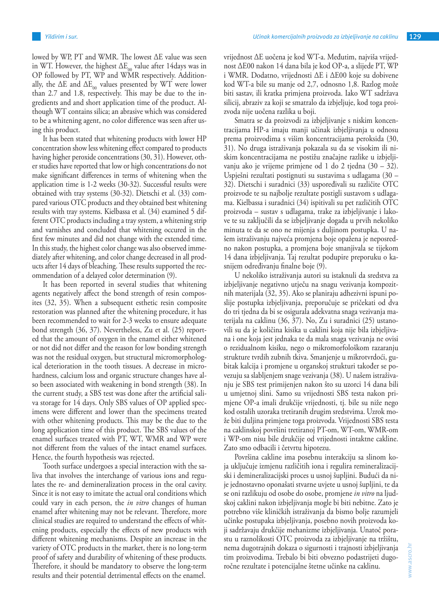lowed by WP, PT and WMR. The lowest ΔE value was seen in WT. However, the highest  $\Delta E_{\alpha}$  value after 14days was in OP followed by PT, WP and WMR respectively. Additionally, the  $\Delta E$  and  $\Delta E_{00}$  values presented by WT were lower than 2.7 and 1.8, respectively. This may be due to the ingredients and and short application time of the product. Although WT contains silica; an abrasive which was considered to be a whitening agent, no color difference was seen after using this product.

It has been stated that whitening products with lower HP concentration show less whitening effect compared to products having higher peroxide concentrations (30, 31). However, other studies have reported that low or high concentrations do not make significant differences in terms of whitening when the application time is 1-2 weeks (30-32). Successful results were obtained with tray systems (30-32). Dietschi et al. (33) compared various OTC products and they obtained best whitening results with tray systems. Kielbassa et al. (34) examined 5 different OTC products including a tray system, a whitening strip and varnishes and concluded that whitening occured in the first few minutes and did not change with the extended time. In this study, the highest color change was also observed immediately after whitening, and color change decreased in all products after 14 days of bleaching. These results supported the recommendation of a delayed color determination (9).

It has been reported in several studies that whitening agents negatively affect the bond strength of resin composites (32, 35). When a subsequent esthetic resin composite restoration was planned after the whitening procedure, it has been recommended to wait for 2-3 weeks to ensure adequate bond strength (36, 37). Nevertheless, Zu et al. (25) reported that the amount of oxygen in the enamel either whitened or not did not differ and the reason for low bonding strength was not the residual oxygen, but structural micromorphological deterioration in the tooth tissues. A decrease in microhardness, calcium loss and organic structure changes have also been associated with weakening in bond strength (38). In the current study, a SBS test was done after the artificial saliva storage for 14 days. Only SBS values of OP applied specimens were different and lower than the specimens treated with other whitening products. This may be the due to the long application time of this product. The SBS values of the enamel surfaces treated with PT, WT, WMR and WP were not different from the values of the intact enamel surfaces. Hence, the fourth hypothesis was rejected.

Tooth surface undergoes a special interaction with the saliva that involves the interchange of various ions and regulates the re- and demineralization process in the oral cavity. Since it is not easy to imitate the actual oral conditions which could vary in each person, the *in vitro* changes of human enamel after whitening may not be relevant. Therefore, more clinical studies are required to understand the effects of whitening products, especially the effects of new products with different whitening mechanisms. Despite an increase in the variety of OTC products in the market, there is no long-term proof of safety and durability of whitening of these products. Therefore, it should be mandatory to observe the long-term results and their potential detrimental effects on the enamel.

vrijednost ΔE uočena je kod WT-a. Međutim, najviša vrijednost ΔE00 nakon 14 dana bila je kod OP-a, a slijede PT, WP i WMR. Dodatno, vrijednosti ΔE i ΔE00 koje su dobivene kod WT-a bile su manje od 2,7, odnosno 1,8. Razlog može biti sastav, ili kratka primjena proizvoda. Iako WT sadržava silicij, abraziv za koji se smatralo da izbjeljuje, kod toga proizvoda nije uočena razlika u boji.

Smatra se da proizvodi za izbjeljivanje s niskim koncentracijama HP-a imaju manji učinak izbjeljivanja u odnosu prema proizvodima s višim koncentracijama peroksida (30, 31). No druga istraživanja pokazala su da se visokim ili niskim koncentracijama ne postižu značajne razlike u izbjeljivanju ako je vrijeme primjene od 1 do 2 tjedna (30 – 32). Uspješni rezultati postignuti su sustavima s udlagama (30 – 32). Dietschi i suradnici (33) uspoređivali su različite OTC proizvode te su najbolje rezultate postigli sustavom s udlagama. Kielbassa i suradnici (34) ispitivali su pet različitih OTC proizvoda – sustav s udlagama, trake za izbjeljivanje i lakove te su zaključili da se izbjeljivanje događa u prvih nekoliko minuta te da se ono ne mijenja s duljinom postupka. U našem istraživanju najveća promjena boje opažena je neposredno nakon postupka, a promjena boje smanjivala se tijekom 14 dana izbjeljivanja. Taj rezultat podupire preporuku o kasnijem određivanju finalne boje (9).

U nekoliko istraživanja autori su istaknuli da sredstva za izbjeljivanje negativno utječu na snagu vezivanja kompozitnih materijala (32, 35). Ako se planiraju adhezivni ispuni poslije postupka izbjeljivanja, preporučuje se pričekati od dva do tri tjedna da bi se osigurala adekvatna snaga vezivanja materijala na caklinu (36, 37). No, Zu i suradnici (25) ustanovili su da je količina kisika u caklini koja nije bila izbjeljivana i one koja jest jednaka te da mala snaga vezivanja ne ovisi o rezidualnom kisiku, nego o mikromorfološkom razaranju strukture tvrdih zubnih tkiva. Smanjenje u mikrotvrdoći, gubitak kalcija i promjene u organskoj strukturi također se povezuju sa slabljenjem snage vezivanja (38). U našem istraživanju je SBS test primijenjen nakon što su uzorci 14 dana bili u umjetnoj slini. Samo su vrijednosti SBS testa nakon primjene OP-a imali drukčije vrijednosti, tj. bile su niže nego kod ostalih uzoraka tretiranih drugim sredstvima. Uzrok može biti duljina primjene toga proizvoda. Vrijednosti SBS testa na caklinskoj površini tretiranoj PT-om, WT-om, WMR-om i WP-om nisu bile drukčije od vrijednosti intaktne cakline. Zato smo odbacili i četvrtu hipotezu.

Površina cakline ima posebnu interakciju sa slinom koja uključuje izmjenu različitih iona i regulira remineralizacijski i demineralizacijski proces u usnoj šupljini. Budući da nije jednostavno oponašati stvarne uvjete u usnoj šupljini, te da se oni razlikuju od osobe do osobe, promjene *in vitro* na ljudskoj caklini nakon izbjeljivanja mogle bi biti nebitne. Zato je potrebno više kliničkih istraživanja da bismo bolje razumjeli učinke postupaka izbjeljivanja, posebno novih proizvoda koji sadržavaju drukčije mehanizme izbjeljivanja. Unatoč porastu u raznolikosti OTC proizvoda za izbjeljivanje na tržištu, nema dugotrajnih dokaza o sigurnosti i trajnosti izbjeljivanja tim proizvodima. Trebalo bi biti obvezno podastrijeti dugoročne rezultate i potencijalne štetne učinke na caklinu.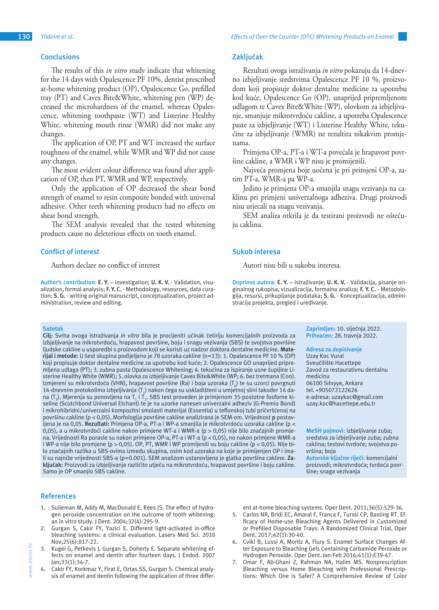The results of this *in vitro* study indicate that whitening for the 14 days with Opalescence PF 10%, dentist prescribed at-home whitening product (OP), Opalescence Go, prefilled tray (PT) and Cavex Bite&White, whitening pen (WP) decreased the microhardness of the enamel, whereas Opalescence, whitening toothpaste (WT) and Listerine Healthy White, whitening mouth rinse (WMR) did not make any changes.

The application of OP, PT and WT increased the surface roughness of the enamel, while WMR and WP did not cause any changes.

The most evident colour difference was found after application of OP, then PT, WMR and WP, respectively.

Only the application of OP decreased the shear bond strength of enamel to resin composite bonded with universal adhesive. Other teeth whitening products had no effects on shear bond strength.

The SEM analysis revealed that the tested whitening products cause no deleterious effects on tooth enamel.

#### **Conflict of interest**

Authors declare no conflict of interest

**Author's contribution: E. Y.** – investigation; **U. K. V.** - Validation, visualization, formal analysis; **F. Y. C.** - Methodology, resources, data curation; **S. G.** - writing original manuscript, conceptualization, project administration, review and editing.

#### **Sažetak**

**Cilj:** Svrha ovoga istraživanja *in vitro* bila je procijeniti učinak četiriju komercijalnih proizvoda za izbjeljivanje na mikrotvrdoću, hrapavost površine, boju i snagu vezivanja (SBS) te svojstva površine ljudske cakline u usporedbi s proizvodom koji se koristi uz nadzor doktora dentalne medicine. **Materijal i metode:** U šest skupina podijeljeno je 78 uzoraka cakline (n=13): 1. Opalescence PF 10 % (OP) koji propisuje doktor dentalne medicine za upotrebu kod kuće; 2. Opalescence GO unaprijed pripremljena udlaga (PT); 3. zubna pasta Opalescence Whitening; 4. tekućina za ispiranje usne šupljine Listerine Healthy White (WMR); 5. olovka za izbjeljivanje Cavex Bite&White (WP; 6. bez tretmana (Con). Izmjereni su mikrotvrdoća (VHN), hrapavost površine (Ra) i boja uzoraka (T $_{\rm o}$ ) te su uzorci povrgnuti 14-dnevnim protokolima izbjeljivanja  $(\mathsf{T}_1)$  nakon čega su uskladišteni u umjetnoj slini također 14 dana (T $_2$ ). Mjerenja su ponovljena na T $_1$  i T $_2$ . SBS test proveden je primjenom 35-postotne fosforne kiseline (Scotchbond Universal Etchant) te je na uzorke nanesen univerzalni adheziv (G-Premio Bond) i mikrohibridni/univerzalni kompozitni smolasti materijal (Essentia) u teflonskoj tubi pričvršćenoj na površinu cakline (p < 0,05). Morfologija površine cakline analizirana je SEM-om. Vrijednost **p** postavljena je na 0,05. **Rezultati:** Primjena OP-a, PT-a i WP-a smanjila je mikrotvrdoću uzoraka cakline (p < 0,05), a u mikrotvrdoći cakline nakon primjene WT-a i WMR-a (p > 0,05) nije bilo značajnih promjena. Vrijednosti Ra porasle su nakon primjene OP-a, PT-a i WT-a (p < 0,05), no nakon primjene WMR-a i WP-a nije bilo promjene (p > 0,05). OP, PT, WMR i WP promijenili su boju cakline (p < 0,05). Nije bilo značajnih razlika u SBS-ovima između skupina, osim kod uzoraka na koje je primijenjen OP i imali su najniže vrijednosti SBS-a (p=0.001). SEM analizom ustanovljena je glatka površina cakline. **Zaključak:** Proizvodi za izbjeljivanje različito utječu na mikrotvrdoću, hrapavost površine i boju cakline. Samo je OP smanjio SBS cakline.

#### **References**

- 1. Sulieman M, Addy M, MacDonald E, Rees JS. The effect of hydrogen peroxide concentration on the outcome of tooth whitening: an in vitro study. J Dent. 2004;32(4):295-9.
- Gurgan S, Cakir FY, Yazici E. Different light-activated in-office bleaching systems: a clinical evaluation. Lasers Med Sci. 2010 Nov;25(6):817-22.
- 3. Kugel G, Petkevis J, Gurgan S, Doherty E. Separate whitening effects on enamel and dentin after fourteen days. J Endod. 2007 Jan;33(1):34-7.
- Cakir FY, Korkmaz Y, Firat E, Oztas SS, Gurgan S. Chemical analysis of enamel and dentin following the application of three differ-

#### **Zaključak**

Rezultati ovoga istraživanja *in vitro* pokazuju da 14-dnevno izbjeljivanje sredstvima Opalescence PF 10 %, proizvodom koji propisuje doktor dentalne medicine za upotrebu kod kuće, Opalescence Go (OP), unaprijed pripremljenom udlagom te Cavex Bite&White (WP), olovkom za izbjeljivanje, smanjuje mikrotvrdoću cakline, a upotreba Opalescence paste za izbjeljivanje (WT) i Listerine Healthy White, tekućine za izbjeljivanje (WMR) ne rezultira nikakvim promjenama.

Primjena OP-a, PT-a i WT-a povećala je hrapavost površine cakline, a WMR i WP nisu je promijenili.

Najveća promjena boje uočena je pri primjeni OP-a, zatim PT-a, WMR-a pa WP-a.

Jedino je primjena OP-a smanjila snagu vezivanja na caklinu pri primjeni univerzalnoga adheziva. Drugi proizvodi nisu utjecali na snagu vezivanja.

SEM analiza otkrila je da testirani proizvodi ne oštećuju caklinu.

#### **Sukob interesa**

Autori nisu bili u sukobu interesa.

**Doprinos autora: E. Y.** – istraživanje; **U. K. V.** - Validacija, pisanje originalnog rukopisa, vizualizacija, formalna analiza; **F. Y. C.** - Metodologija, resursi, prikupljanje podataka; **S. G.** - Konceptualizacija, administracija projekta, pregled i uređivanje.

#### **Zaprimljen:** 10. siječnja 2022. **Prihvaćen:** 28. travnja 2022.

#### **Adresa za dopisivanje**

Uzay Koc Vural Sveučilište Hacettepe Zavod za restaurativnu dentalnu medicinu 06100 Sıhıyye, Ankara tel. +905072122626 e-adresa: uzaykoc@gmail.com uzay.koc@hacettepe.edu.tr

**MeSH pojmovi:** izbjeljivanje zuba; sredstva za izbjeljivanje zuba; zubna caklina; testovi tvrdoće; svojstva površina; boja **Autorske ključne riječi:** komercijalni proizvodi; mikrotvrdoća; tvrdoća površine; snaga vezivanja

ent at-home bleaching systems. Oper Dent. 2011;36(5):529-36.

- 5. Carlos NR, Bridi EC, Amaral F, Franca F, Turssi CP, Basting RT. Efficacy of Home-use Bleaching Agents Delivered in Customized or Prefilled Disposable Trays: A Randomized Clinical Trial. Oper Dent. 2017;42(1):30-40.
- 6. Cvikl B, Lussi A, Moritz A, Flury S. Enamel Surface Changes After Exposure to Bleaching Gels Containing Carbamide Peroxide or Hydrogen Peroxide. Oper Dent. Jan-Feb 2016;41(1):E39-47.
- 7. Omar F, Ab-Ghani Z, Rahman NA, Halim MS. Nonprescription Bleaching versus Home Bleaching with Professional Prescriptions: Which One is Safer? A Comprehensive Review of Color